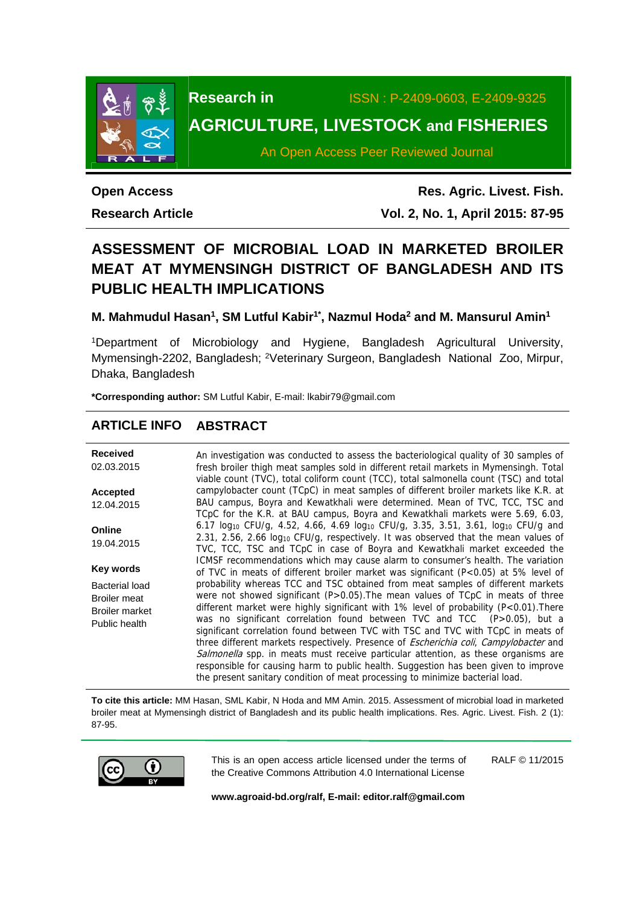

**Research in** ISSN : P-2409-0603, E-2409-9325 **AGRICULTURE, LIVESTOCK and FISHERIES** 

An Open Access Peer Reviewed Journal

**Open Access Research Article** 

**Res. Agric. Livest. Fish. Vol. 2, No. 1, April 2015: 87-95**

RALF © 11/2015

# **ASSESSMENT OF MICROBIAL LOAD IN MARKETED BROILER MEAT AT MYMENSINGH DISTRICT OF BANGLADESH AND ITS PUBLIC HEALTH IMPLICATIONS**

M. Mahmudul Hasan<sup>1</sup>, SM Lutful Kabir<sup>1\*</sup>, Nazmul Hoda<sup>2</sup> and M. Mansurul Amin<sup>1</sup>

1Department of Microbiology and Hygiene, Bangladesh Agricultural University, Mymensingh-2202, Bangladesh; <sup>2</sup>Veterinary Surgeon, Bangladesh National Zoo, Mirpur, Dhaka, Bangladesh

**\*Corresponding author:** SM Lutful Kabir, E-mail: lkabir79@gmail.com

# **ARTICLE INFO ABSTRACT**

| <b>Received</b><br>02.03.2015<br>Accepted                                       | An investigation was conducted to assess the bacteriological quality of 30 samples of<br>fresh broiler thigh meat samples sold in different retail markets in Mymensingh. Total<br>viable count (TVC), total coliform count (TCC), total salmonella count (TSC) and total<br>campylobacter count (TCpC) in meat samples of different broiler markets like K.R. at                                                                                                                                                                                                                                                                                                                                                                                                                         |
|---------------------------------------------------------------------------------|-------------------------------------------------------------------------------------------------------------------------------------------------------------------------------------------------------------------------------------------------------------------------------------------------------------------------------------------------------------------------------------------------------------------------------------------------------------------------------------------------------------------------------------------------------------------------------------------------------------------------------------------------------------------------------------------------------------------------------------------------------------------------------------------|
| 12.04.2015                                                                      | BAU campus, Boyra and Kewatkhali were determined. Mean of TVC, TCC, TSC and<br>TCpC for the K.R. at BAU campus, Boyra and Kewatkhali markets were 5.69, 6.03,                                                                                                                                                                                                                                                                                                                                                                                                                                                                                                                                                                                                                             |
| Online<br>19.04.2015                                                            | 6.17 log10 CFU/g, 4.52, 4.66, 4.69 log10 CFU/g, 3.35, 3.51, 3.61, log10 CFU/g and<br>2.31, 2.56, 2.66 log <sub>10</sub> CFU/g, respectively. It was observed that the mean values of<br>TVC, TCC, TSC and TCpC in case of Boyra and Kewatkhali market exceeded the                                                                                                                                                                                                                                                                                                                                                                                                                                                                                                                        |
| Key words                                                                       | ICMSF recommendations which may cause alarm to consumer's health. The variation<br>of TVC in meats of different broiler market was significant ( $P < 0.05$ ) at 5% level of                                                                                                                                                                                                                                                                                                                                                                                                                                                                                                                                                                                                              |
| Bacterial load<br><b>Broiler meat</b><br><b>Broiler market</b><br>Public health | probability whereas TCC and TSC obtained from meat samples of different markets<br>were not showed significant (P>0.05). The mean values of TCpC in meats of three<br>different market were highly significant with 1% level of probability (P<0.01). There<br>was no significant correlation found between TVC and TCC (P>0.05), but a<br>significant correlation found between TVC with TSC and TVC with TCpC in meats of<br>three different markets respectively. Presence of <i>Escherichia coli, Campylobacter</i> and<br>Salmonella spp. in meats must receive particular attention, as these organisms are<br>responsible for causing harm to public health. Suggestion has been given to improve<br>the present sanitary condition of meat processing to minimize bacterial load. |

**To cite this article:** MM Hasan, SML Kabir, N Hoda and MM Amin. 2015. Assessment of microbial load in marketed broiler meat at Mymensingh district of Bangladesh and its public health implications. Res. Agric. Livest. Fish. 2 (1): 87-95.



This is an open access article licensed under the terms of the Creative Commons Attribution 4.0 International License

**www.agroaid-bd.org/ralf, E-mail: editor.ralf@gmail.com**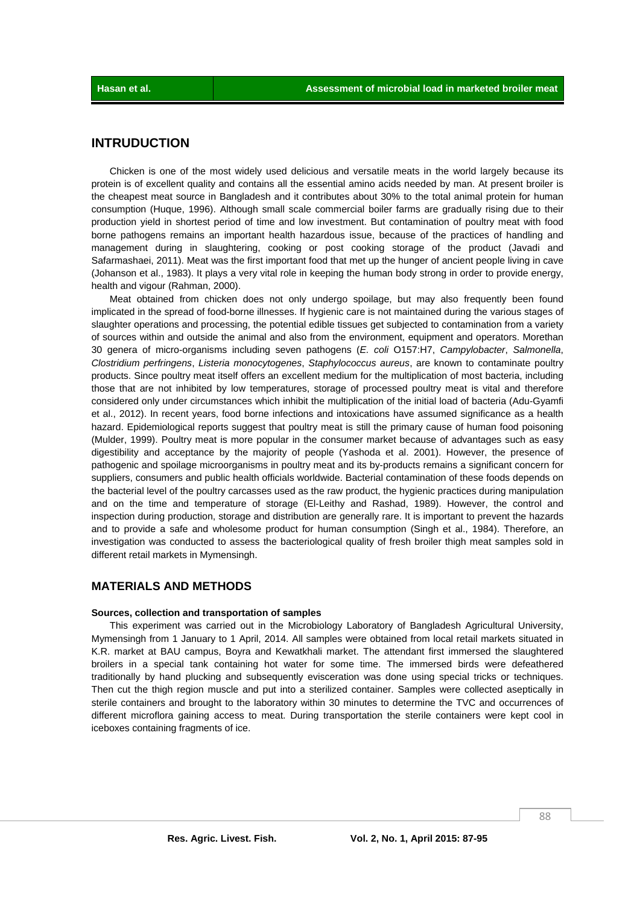# **INTRUDUCTION**

 Chicken is one of the most widely used delicious and versatile meats in the world largely because its protein is of excellent quality and contains all the essential amino acids needed by man. At present broiler is the cheapest meat source in Bangladesh and it contributes about 30% to the total animal protein for human consumption (Huque, 1996). Although small scale commercial boiler farms are gradually rising due to their production yield in shortest period of time and low investment. But contamination of poultry meat with food borne pathogens remains an important health hazardous issue, because of the practices of handling and management during in slaughtering, cooking or post cooking storage of the product (Javadi and Safarmashaei, 2011). Meat was the first important food that met up the hunger of ancient people living in cave (Johanson et al., 1983). It plays a very vital role in keeping the human body strong in order to provide energy, health and vigour (Rahman, 2000).

 Meat obtained from chicken does not only undergo spoilage, but may also frequently been found implicated in the spread of food-borne illnesses. If hygienic care is not maintained during the various stages of slaughter operations and processing, the potential edible tissues get subjected to contamination from a variety of sources within and outside the animal and also from the environment, equipment and operators. Morethan 30 genera of micro-organisms including seven pathogens (*E. coli* O157:H7, *Campylobacter*, *Salmonella*, *Clostridium perfringens*, *Listeria monocytogenes*, *Staphylococcus aureus*, are known to contaminate poultry products. Since poultry meat itself offers an excellent medium for the multiplication of most bacteria, including those that are not inhibited by low temperatures, storage of processed poultry meat is vital and therefore considered only under circumstances which inhibit the multiplication of the initial load of bacteria (Adu-Gyamfi et al., 2012). In recent years, food borne infections and intoxications have assumed significance as a health hazard. Epidemiological reports suggest that poultry meat is still the primary cause of human food poisoning (Mulder, 1999). Poultry meat is more popular in the consumer market because of advantages such as easy digestibility and acceptance by the majority of people (Yashoda et al. 2001). However, the presence of pathogenic and spoilage microorganisms in poultry meat and its by-products remains a significant concern for suppliers, consumers and public health officials worldwide. Bacterial contamination of these foods depends on the bacterial level of the poultry carcasses used as the raw product, the hygienic practices during manipulation and on the time and temperature of storage (El-Leithy and Rashad, 1989). However, the control and inspection during production, storage and distribution are generally rare. It is important to prevent the hazards and to provide a safe and wholesome product for human consumption (Singh et al., 1984). Therefore, an investigation was conducted to assess the bacteriological quality of fresh broiler thigh meat samples sold in different retail markets in Mymensingh.

# **MATERIALS AND METHODS**

#### **Sources, collection and transportation of samples**

 This experiment was carried out in the Microbiology Laboratory of Bangladesh Agricultural University, Mymensingh from 1 January to 1 April, 2014. All samples were obtained from local retail markets situated in K.R. market at BAU campus, Boyra and Kewatkhali market. The attendant first immersed the slaughtered broilers in a special tank containing hot water for some time. The immersed birds were defeathered traditionally by hand plucking and subsequently evisceration was done using special tricks or techniques. Then cut the thigh region muscle and put into a sterilized container. Samples were collected aseptically in sterile containers and brought to the laboratory within 30 minutes to determine the TVC and occurrences of different microflora gaining access to meat. During transportation the sterile containers were kept cool in iceboxes containing fragments of ice.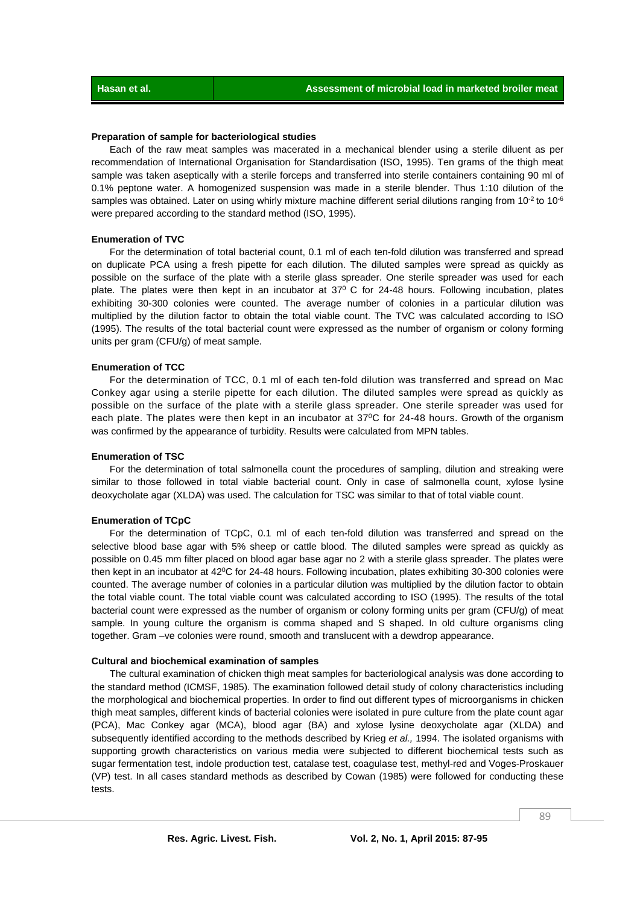#### **Preparation of sample for bacteriological studies**

 Each of the raw meat samples was macerated in a mechanical blender using a sterile diluent as per recommendation of International Organisation for Standardisation (ISO, 1995). Ten grams of the thigh meat sample was taken aseptically with a sterile forceps and transferred into sterile containers containing 90 ml of 0.1% peptone water. A homogenized suspension was made in a sterile blender. Thus 1:10 dilution of the samples was obtained. Later on using whirly mixture machine different serial dilutions ranging from  $10^{-2}$  to  $10^{-6}$ were prepared according to the standard method (ISO, 1995).

#### **Enumeration of TVC**

 For the determination of total bacterial count, 0.1 ml of each ten-fold dilution was transferred and spread on duplicate PCA using a fresh pipette for each dilution. The diluted samples were spread as quickly as possible on the surface of the plate with a sterile glass spreader. One sterile spreader was used for each plate. The plates were then kept in an incubator at  $37^{\circ}$  C for 24-48 hours. Following incubation, plates exhibiting 30-300 colonies were counted. The average number of colonies in a particular dilution was multiplied by the dilution factor to obtain the total viable count. The TVC was calculated according to ISO (1995). The results of the total bacterial count were expressed as the number of organism or colony forming units per gram (CFU/g) of meat sample.

#### **Enumeration of TCC**

 For the determination of TCC, 0.1 ml of each ten-fold dilution was transferred and spread on Mac Conkey agar using a sterile pipette for each dilution. The diluted samples were spread as quickly as possible on the surface of the plate with a sterile glass spreader. One sterile spreader was used for each plate. The plates were then kept in an incubator at 37°C for 24-48 hours. Growth of the organism was confirmed by the appearance of turbidity. Results were calculated from MPN tables.

#### **Enumeration of TSC**

 For the determination of total salmonella count the procedures of sampling, dilution and streaking were similar to those followed in total viable bacterial count. Only in case of salmonella count, xylose lysine deoxycholate agar (XLDA) was used. The calculation for TSC was similar to that of total viable count.

#### **Enumeration of TCpC**

 For the determination of TCpC, 0.1 ml of each ten-fold dilution was transferred and spread on the selective blood base agar with 5% sheep or cattle blood. The diluted samples were spread as quickly as possible on 0.45 mm filter placed on blood agar base agar no 2 with a sterile glass spreader. The plates were then kept in an incubator at 42<sup>o</sup>C for 24-48 hours. Following incubation, plates exhibiting 30-300 colonies were counted. The average number of colonies in a particular dilution was multiplied by the dilution factor to obtain the total viable count. The total viable count was calculated according to ISO (1995). The results of the total bacterial count were expressed as the number of organism or colony forming units per gram (CFU/g) of meat sample. In young culture the organism is comma shaped and S shaped. In old culture organisms cling together. Gram –ve colonies were round, smooth and translucent with a dewdrop appearance.

#### **Cultural and biochemical examination of samples**

 The cultural examination of chicken thigh meat samples for bacteriological analysis was done according to the standard method (ICMSF, 1985). The examination followed detail study of colony characteristics including the morphological and biochemical properties. In order to find out different types of microorganisms in chicken thigh meat samples, different kinds of bacterial colonies were isolated in pure culture from the plate count agar (PCA), Mac Conkey agar (MCA), blood agar (BA) and xylose lysine deoxycholate agar (XLDA) and subsequently identified according to the methods described by Krieg *et al.,* 1994. The isolated organisms with supporting growth characteristics on various media were subjected to different biochemical tests such as sugar fermentation test, indole production test, catalase test, coagulase test, methyl-red and Voges-Proskauer (VP) test. In all cases standard methods as described by Cowan (1985) were followed for conducting these tests.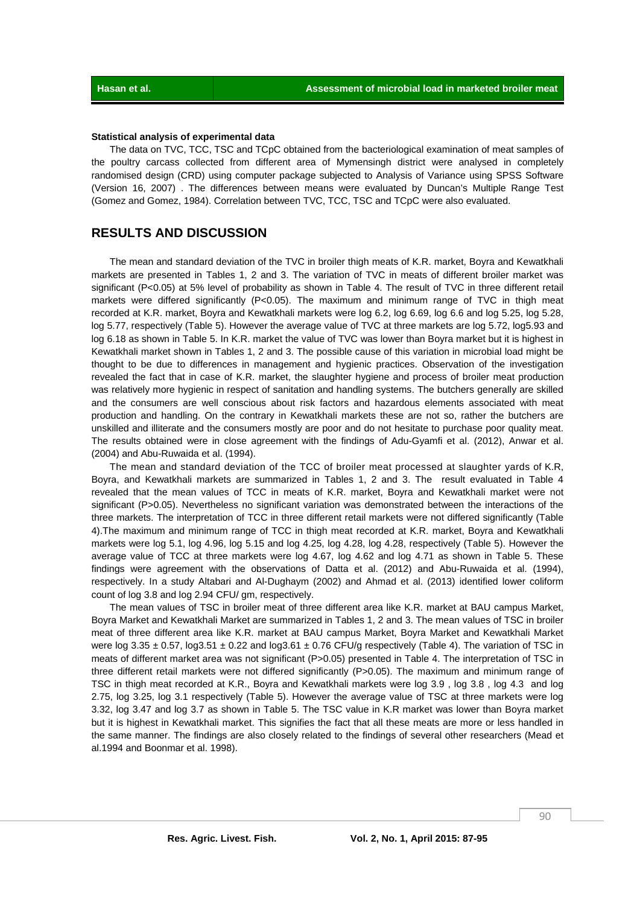#### **Statistical analysis of experimental data**

 The data on TVC, TCC, TSC and TCpC obtained from the bacteriological examination of meat samples of the poultry carcass collected from different area of Mymensingh district were analysed in completely randomised design (CRD) using computer package subjected to Analysis of Variance using SPSS Software (Version 16, 2007) . The differences between means were evaluated by Duncan's Multiple Range Test (Gomez and Gomez, 1984). Correlation between TVC, TCC, TSC and TCpC were also evaluated.

# **RESULTS AND DISCUSSION**

 The mean and standard deviation of the TVC in broiler thigh meats of K.R. market, Boyra and Kewatkhali markets are presented in Tables 1, 2 and 3. The variation of TVC in meats of different broiler market was significant (P<0.05) at 5% level of probability as shown in Table 4. The result of TVC in three different retail markets were differed significantly (P<0.05). The maximum and minimum range of TVC in thigh meat recorded at K.R. market, Boyra and Kewatkhali markets were log 6.2, log 6.69, log 6.6 and log 5.25, log 5.28, log 5.77, respectively (Table 5). However the average value of TVC at three markets are log 5.72, log5.93 and log 6.18 as shown in Table 5. In K.R. market the value of TVC was lower than Boyra market but it is highest in Kewatkhali market shown in Tables 1, 2 and 3. The possible cause of this variation in microbial load might be thought to be due to differences in management and hygienic practices. Observation of the investigation revealed the fact that in case of K.R. market, the slaughter hygiene and process of broiler meat production was relatively more hygienic in respect of sanitation and handling systems. The butchers generally are skilled and the consumers are well conscious about risk factors and hazardous elements associated with meat production and handling. On the contrary in Kewatkhali markets these are not so, rather the butchers are unskilled and illiterate and the consumers mostly are poor and do not hesitate to purchase poor quality meat. The results obtained were in close agreement with the findings of Adu*-*Gyamfi et al. (2012), Anwar et al. (2004) and Abu-Ruwaida et al. (1994).

 The mean and standard deviation of the TCC of broiler meat processed at slaughter yards of K.R, Boyra, and Kewatkhali markets are summarized in Tables 1, 2 and 3. The result evaluated in Table 4 revealed that the mean values of TCC in meats of K.R. market, Boyra and Kewatkhali market were not significant (P>0.05). Nevertheless no significant variation was demonstrated between the interactions of the three markets. The interpretation of TCC in three different retail markets were not differed significantly (Table 4).The maximum and minimum range of TCC in thigh meat recorded at K.R. market, Boyra and Kewatkhali markets were log 5.1, log 4.96, log 5.15 and log 4.25, log 4.28, log 4.28, respectively (Table 5). However the average value of TCC at three markets were log 4.67, log 4.62 and log 4.71 as shown in Table 5. These findings were agreement with the observations of Datta et al. (2012) and Abu-Ruwaida et al. (1994), respectively. In a study Altabari and Al-Dughaym (2002) and Ahmad et al. (2013) identified lower coliform count of log 3.8 and log 2.94 CFU/ gm, respectively.

 The mean values of TSC in broiler meat of three different area like K.R. market at BAU campus Market, Boyra Market and Kewatkhali Market are summarized in Tables 1, 2 and 3. The mean values of TSC in broiler meat of three different area like K.R. market at BAU campus Market, Boyra Market and Kewatkhali Market were log 3.35  $\pm$  0.57, log3.51  $\pm$  0.22 and log3.61  $\pm$  0.76 CFU/g respectively (Table 4). The variation of TSC in meats of different market area was not significant (P>0.05) presented in Table 4. The interpretation of TSC in three different retail markets were not differed significantly (P>0.05). The maximum and minimum range of TSC in thigh meat recorded at K.R., Boyra and Kewatkhali markets were log 3.9 , log 3.8 , log 4.3 and log 2.75, log 3.25, log 3.1 respectively (Table 5). However the average value of TSC at three markets were log 3.32, log 3.47 and log 3.7 as shown in Table 5. The TSC value in K.R market was lower than Boyra market but it is highest in Kewatkhali market. This signifies the fact that all these meats are more or less handled in the same manner. The findings are also closely related to the findings of several other researchers (Mead et al.1994 and Boonmar et al. 1998).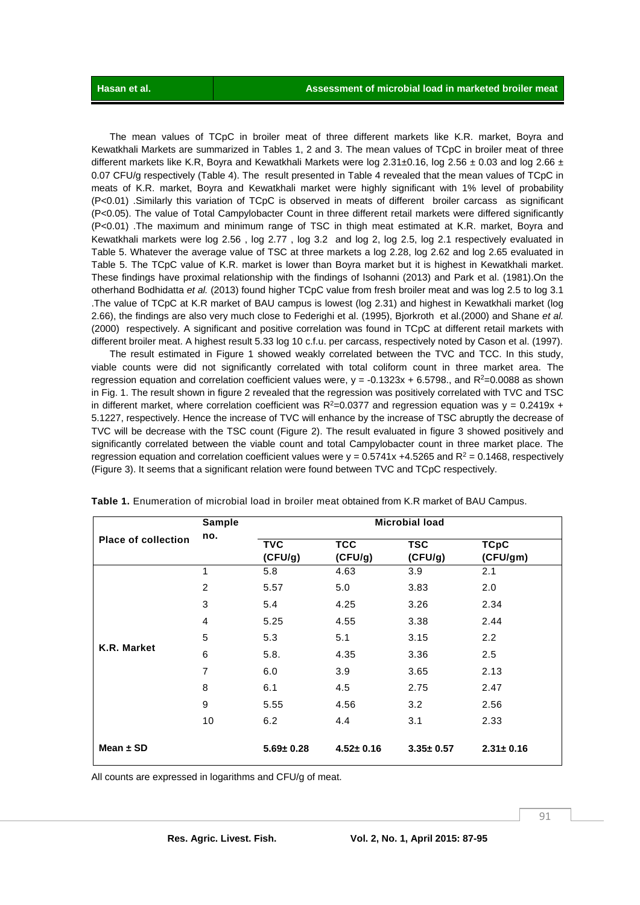The mean values of TCpC in broiler meat of three different markets like K.R. market, Boyra and Kewatkhali Markets are summarized in Tables 1, 2 and 3. The mean values of TCpC in broiler meat of three different markets like K.R, Boyra and Kewatkhali Markets were log 2.31 $\pm$ 0.16, log 2.56  $\pm$  0.03 and log 2.66  $\pm$ 0.07 CFU/g respectively (Table 4). The result presented in Table 4 revealed that the mean values of TCpC in meats of K.R. market, Boyra and Kewatkhali market were highly significant with 1% level of probability (P<0.01) .Similarly this variation of TCpC is observed in meats of different broiler carcass as significant (P<0.05). The value of Total Campylobacter Count in three different retail markets were differed significantly (P<0.01) .The maximum and minimum range of TSC in thigh meat estimated at K.R. market, Boyra and Kewatkhali markets were log 2.56 , log 2.77 , log 3.2 and log 2, log 2.5, log 2.1 respectively evaluated in Table 5. Whatever the average value of TSC at three markets a log 2.28, log 2.62 and log 2.65 evaluated in Table 5. The TCpC value of K.R. market is lower than Boyra market but it is highest in Kewatkhali market. These findings have proximal relationship with the findings of Isohanni (2013) and Park et al. (1981).On the otherhand Bodhidatta *et al.* (2013) found higher TCpC value from fresh broiler meat and was log 2.5 to log 3.1 .The value of TCpC at K.R market of BAU campus is lowest (log 2.31) and highest in Kewatkhali market (log 2.66), the findings are also very much close to Federighi et al. (1995), Bjorkroth et al.(2000) and Shane *et al.* (2000) respectively. A significant and positive correlation was found in TCpC at different retail markets with different broiler meat. A highest result 5.33 log 10 c.f.u. per carcass, respectively noted by Cason et al. (1997).

 The result estimated in Figure 1 showed weakly correlated between the TVC and TCC. In this study, viable counts were did not significantly correlated with total coliform count in three market area. The regression equation and correlation coefficient values were,  $y = -0.1323x + 6.5798$ ., and  $R^2=0.0088$  as shown in Fig. 1. The result shown in figure 2 revealed that the regression was positively correlated with TVC and TSC in different market, where correlation coefficient was  $R^2=0.0377$  and regression equation was y = 0.2419x + 5.1227, respectively. Hence the increase of TVC will enhance by the increase of TSC abruptly the decrease of TVC will be decrease with the TSC count (Figure 2). The result evaluated in figure 3 showed positively and significantly correlated between the viable count and total Campylobacter count in three market place. The regression equation and correlation coefficient values were  $y = 0.5741x + 4.5265$  and  $R^2 = 0.1468$ , respectively (Figure 3). It seems that a significant relation were found between TVC and TCpC respectively.

|                            | Sample         | <b>Microbial load</b> |                       |                       |                         |  |  |  |  |
|----------------------------|----------------|-----------------------|-----------------------|-----------------------|-------------------------|--|--|--|--|
| <b>Place of collection</b> | no.            | <b>TVC</b><br>(CFU/g) | <b>TCC</b><br>(CFU/g) | <b>TSC</b><br>(CFU/g) | <b>TCpC</b><br>(CFU/gm) |  |  |  |  |
|                            | 1              | 5.8                   | 4.63                  | 3.9                   | 2.1                     |  |  |  |  |
|                            | $\overline{c}$ | 5.57                  | 5.0                   | 3.83                  | 2.0                     |  |  |  |  |
|                            | 3              | 5.4                   | 4.25                  | 3.26                  | 2.34                    |  |  |  |  |
|                            | 4              | 5.25                  | 4.55                  | 3.38                  | 2.44                    |  |  |  |  |
|                            | 5              | 5.3                   | 5.1                   | 3.15                  | 2.2                     |  |  |  |  |
| K.R. Market                | 6              | 5.8.                  | 4.35                  | 3.36                  | 2.5                     |  |  |  |  |
|                            | $\overline{7}$ | 6.0                   | 3.9                   | 3.65                  | 2.13                    |  |  |  |  |
|                            | 8              | 6.1                   | 4.5                   | 2.75                  | 2.47                    |  |  |  |  |
|                            | 9              | 5.55                  | 4.56                  | 3.2                   | 2.56                    |  |  |  |  |
|                            | 10             | 6.2                   | 4.4                   | 3.1                   | 2.33                    |  |  |  |  |
| Mean $\pm$ SD              |                | $5.69 \pm 0.28$       | $4.52 \pm 0.16$       | $3.35 \pm 0.57$       | $2.31 \pm 0.16$         |  |  |  |  |

**Table 1.** Enumeration of microbial load in broiler meat obtained from K.R market of BAU Campus.

All counts are expressed in logarithms and CFU/g of meat.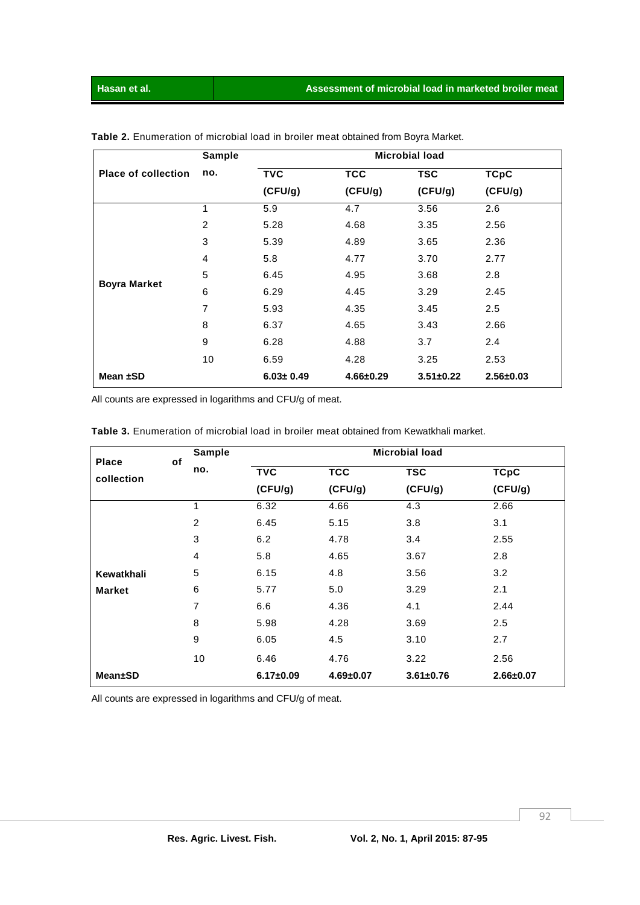|                            | <b>Sample</b>  | <b>Microbial load</b> |                 |                 |                 |  |  |  |  |
|----------------------------|----------------|-----------------------|-----------------|-----------------|-----------------|--|--|--|--|
| <b>Place of collection</b> | no.            | <b>TVC</b>            | <b>TCC</b>      | <b>TSC</b>      | <b>TCpC</b>     |  |  |  |  |
|                            |                | (CFU/g)               | (CFU/g)         | (CFU/g)         | (CFU/g)         |  |  |  |  |
|                            | 1              | 5.9                   | 4.7             | 3.56            | 2.6             |  |  |  |  |
|                            | $\overline{c}$ | 5.28                  | 4.68            | 3.35            | 2.56            |  |  |  |  |
|                            | 3              | 5.39                  | 4.89            | 3.65            | 2.36            |  |  |  |  |
|                            | 4              | 5.8                   | 4.77            | 3.70            | 2.77            |  |  |  |  |
|                            | 5              | 6.45                  | 4.95            | 3.68            | 2.8             |  |  |  |  |
| <b>Boyra Market</b>        | 6              | 6.29                  | 4.45            | 3.29            | 2.45            |  |  |  |  |
|                            | 7              | 5.93                  | 4.35            | 3.45            | 2.5             |  |  |  |  |
|                            | 8              | 6.37                  | 4.65            | 3.43            | 2.66            |  |  |  |  |
|                            | 9              | 6.28                  | 4.88            | 3.7             | 2.4             |  |  |  |  |
|                            | 10             | 6.59                  | 4.28            | 3.25            | 2.53            |  |  |  |  |
| Mean $\pm$ SD              |                | $6.03 \pm 0.49$       | $4.66 \pm 0.29$ | $3.51 \pm 0.22$ | $2.56 \pm 0.03$ |  |  |  |  |

**Table 2.** Enumeration of microbial load in broiler meat obtained from Boyra Market.

All counts are expressed in logarithms and CFU/g of meat.

| <b>Place</b><br><b>of</b> | Sample           | <b>Microbial load</b> |                 |                 |                 |  |  |  |
|---------------------------|------------------|-----------------------|-----------------|-----------------|-----------------|--|--|--|
| collection                | no.              | <b>TVC</b>            | <b>TCC</b>      | <b>TSC</b>      | <b>TCpC</b>     |  |  |  |
|                           |                  | (CFU/g)               | (CFU/g)         | (CFU/g)         | (CFU/g)         |  |  |  |
|                           | 1                | 6.32                  | 4.66            | 4.3             | 2.66            |  |  |  |
|                           | $\overline{2}$   | 6.45                  | 5.15            | 3.8             | 3.1             |  |  |  |
|                           | 3                | 6.2                   | 4.78            | 3.4             | 2.55            |  |  |  |
|                           | 4                | 5.8                   | 4.65            | 3.67            | 2.8             |  |  |  |
| Kewatkhali                | 5                | 6.15                  | 4.8             | 3.56            | 3.2             |  |  |  |
| <b>Market</b>             | 6                | 5.77                  | 5.0             | 3.29            | 2.1             |  |  |  |
|                           | 7                | 6.6                   | 4.36            | 4.1             | 2.44            |  |  |  |
|                           | 8                | 5.98                  | 4.28            | 3.69            | 2.5             |  |  |  |
|                           | $\boldsymbol{9}$ | 6.05                  | 4.5             | 3.10            | 2.7             |  |  |  |
|                           | 10               | 6.46                  | 4.76            | 3.22            | 2.56            |  |  |  |
| <b>Mean</b> ±SD           |                  | $6.17 \pm 0.09$       | $4.69 \pm 0.07$ | $3.61 \pm 0.76$ | $2.66 \pm 0.07$ |  |  |  |

**Table 3.** Enumeration of microbial load in broiler meat obtained from Kewatkhali market.

All counts are expressed in logarithms and CFU/g of meat.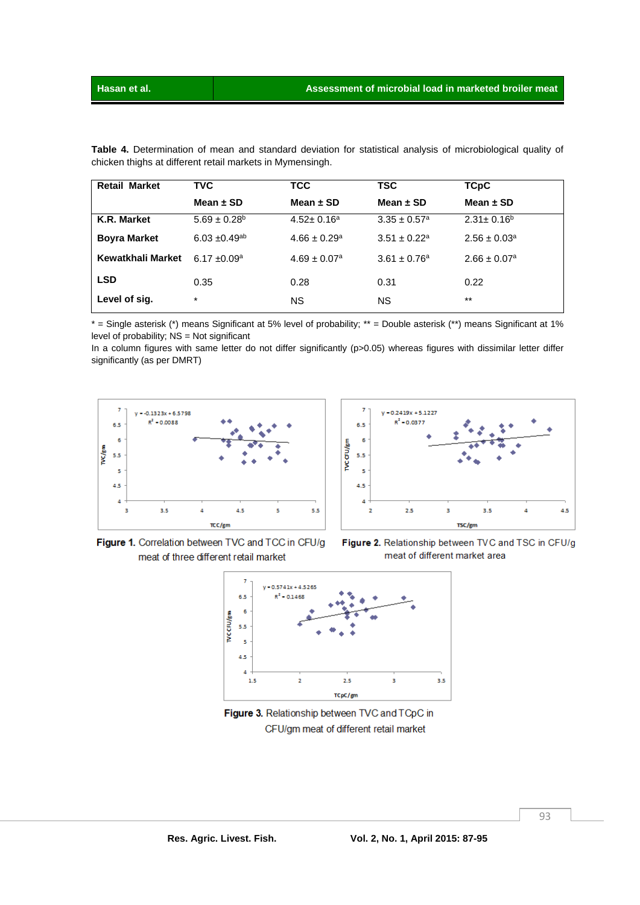**Table 4.** Determination of mean and standard deviation for statistical analysis of microbiological quality of chicken thighs at different retail markets in Mymensingh.

| <b>Retail Market</b> | <b>TVC</b>                    | <b>TCC</b>                   | <b>TSC</b>                   | <b>TCpC</b>                  |
|----------------------|-------------------------------|------------------------------|------------------------------|------------------------------|
|                      | Mean $\pm$ SD                 | Mean $\pm$ SD                | Mean $\pm$ SD                | Mean $\pm$ SD                |
| K.R. Market          | $5.69 \pm 0.28^{\circ}$       | $4.52 \pm 0.16^a$            | $3.35 \pm 0.57$ <sup>a</sup> | $2.31 \pm 0.16^b$            |
| <b>Boyra Market</b>  | $6.03 \pm 0.49$ <sup>ab</sup> | $4.66 \pm 0.29$ <sup>a</sup> | $3.51 \pm 0.22^a$            | $2.56 \pm 0.03$ <sup>a</sup> |
| Kewatkhali Market    | $6.17 \pm 0.09^a$             | $4.69 \pm 0.07$ <sup>a</sup> | $3.61 \pm 0.76^a$            | $2.66 \pm 0.07$ <sup>a</sup> |
| <b>LSD</b>           | 0.35                          | 0.28                         | 0.31                         | 0.22                         |
| Level of sig.        | $\star$                       | ΝS                           | ΝS                           | $***$                        |

\* = Single asterisk (\*) means Significant at 5% level of probability; \*\* = Double asterisk (\*\*) means Significant at 1% level of probability; NS = Not significant

In a column figures with same letter do not differ significantly (p>0.05) whereas figures with dissimilar letter differ significantly (as per DMRT)





Figure 1. Correlation between TVC and TCC in CFU/g meat of three different retail market

Figure 2. Relationship between TVC and TSC in CFU/g meat of different market area



Figure 3. Relationship between TVC and TCpC in CFU/gm meat of different retail market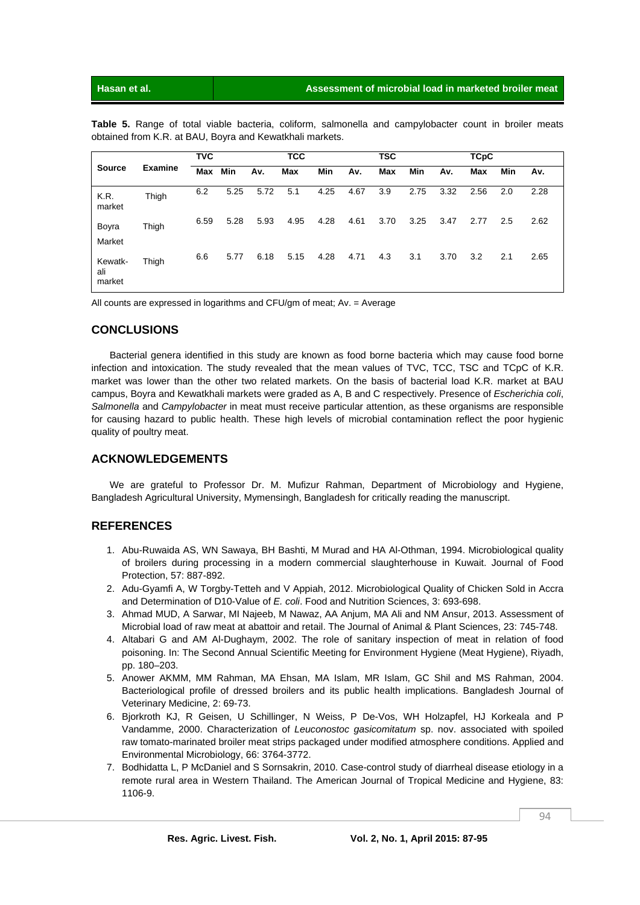**Table 5.** Range of total viable bacteria, coliform, salmonella and campylobacter count in broiler meats obtained from K.R. at BAU, Boyra and Kewatkhali markets.

|                          |                | <b>TVC</b> |      | <b>TCC</b> |      |      |      | <b>TSC</b> |      |      | <b>TCpC</b> |     |      |
|--------------------------|----------------|------------|------|------------|------|------|------|------------|------|------|-------------|-----|------|
| <b>Source</b>            | <b>Examine</b> | <b>Max</b> | Min  | Av.        | Max  | Min  | Av.  | Max        | Min  | Av.  | Max         | Min | Av.  |
| K.R.<br>market           | Thigh          | 6.2        | 5.25 | 5.72       | 5.1  | 4.25 | 4.67 | 3.9        | 2.75 | 3.32 | 2.56        | 2.0 | 2.28 |
| Boyra<br>Market          | Thigh          | 6.59       | 5.28 | 5.93       | 4.95 | 4.28 | 4.61 | 3.70       | 3.25 | 3.47 | 2.77        | 2.5 | 2.62 |
| Kewatk-<br>ali<br>market | Thigh          | 6.6        | 5.77 | 6.18       | 5.15 | 4.28 | 4.71 | 4.3        | 3.1  | 3.70 | 3.2         | 2.1 | 2.65 |

All counts are expressed in logarithms and CFU/gm of meat; Av. = Average

# **CONCLUSIONS**

 Bacterial genera identified in this study are known as food borne bacteria which may cause food borne infection and intoxication. The study revealed that the mean values of TVC, TCC, TSC and TCpC of K.R. market was lower than the other two related markets. On the basis of bacterial load K.R. market at BAU campus, Boyra and Kewatkhali markets were graded as A, B and C respectively. Presence of *Escherichia coli*, *Salmonella* and *Campylobacter* in meat must receive particular attention, as these organisms are responsible for causing hazard to public health. These high levels of microbial contamination reflect the poor hygienic quality of poultry meat.

## **ACKNOWLEDGEMENTS**

 We are grateful to Professor Dr. M. Mufizur Rahman, Department of Microbiology and Hygiene, Bangladesh Agricultural University, Mymensingh, Bangladesh for critically reading the manuscript.

# **REFERENCES**

- 1. Abu-Ruwaida AS, WN Sawaya, BH Bashti, M Murad and HA Al-Othman, 1994. Microbiological quality of broilers during processing in a modern commercial slaughterhouse in Kuwait. Journal of Food Protection, 57: 887-892.
- 2. Adu-Gyamfi A, W Torgby-Tetteh and V Appiah, 2012. Microbiological Quality of Chicken Sold in Accra and Determination of D10-Value of *E. coli*. Food and Nutrition Sciences, 3: 693-698.
- 3. Ahmad MUD, A Sarwar, MI Najeeb, M Nawaz, AA Anjum, MA Ali and NM Ansur, 2013. Assessment of Microbial load of raw meat at abattoir and retail. The Journal of Animal & Plant Sciences, 23: 745-748.
- 4. Altabari G and AM Al-Dughaym, 2002. The role of sanitary inspection of meat in relation of food poisoning. In: The Second Annual Scientific Meeting for Environment Hygiene (Meat Hygiene), Riyadh, pp. 180–203.
- 5. Anower AKMM, MM Rahman, MA Ehsan, MA Islam, MR Islam, GC Shil and MS Rahman, 2004. Bacteriological profile of dressed broilers and its public health implications. Bangladesh Journal of Veterinary Medicine, 2: 69-73.
- 6. Bjorkroth KJ, R Geisen, U Schillinger, N Weiss, P De-Vos, WH Holzapfel, HJ Korkeala and P Vandamme, 2000. Characterization of *Leuconostoc gasicomitatum* sp. nov. associated with spoiled raw tomato-marinated broiler meat strips packaged under modified atmosphere conditions. Applied and Environmental Microbiology, 66: 3764-3772.
- 7. Bodhidatta L, P McDaniel and S Sornsakrin, 2010. Case-control study of diarrheal disease etiology in a remote rural area in Western Thailand. The American Journal of Tropical Medicine and Hygiene, 83: 1106-9.